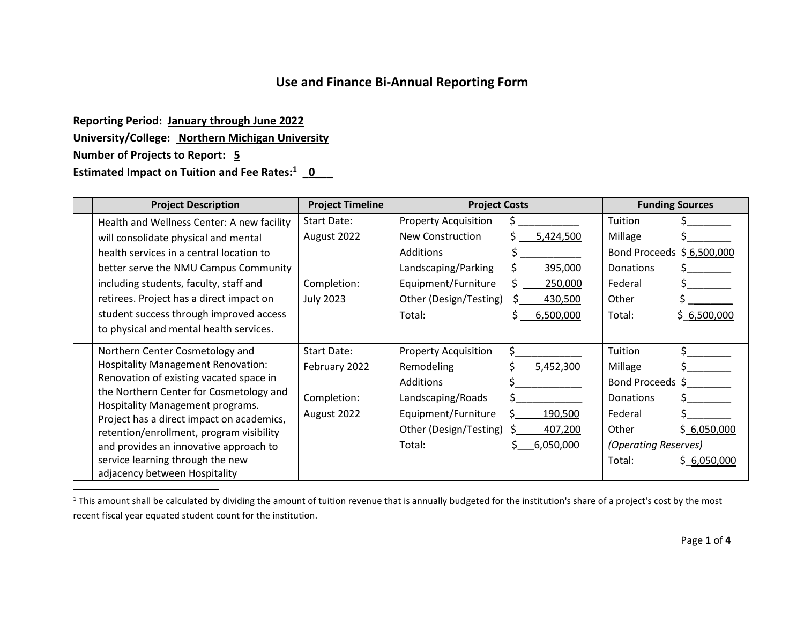## **Use and Finance Bi-Annual Reporting Form**

**Reporting Period: January through June 2022 University/College: Northern Michigan University Number of Projects to Report: 5 Estimated Impact on Tuition and Fee Rates:<sup>1</sup> \_0\_\_\_**

 $\overline{a}$ 

| <b>Project Description</b>                                                    | <b>Project Timeline</b> | <b>Project Costs</b>        |           | <b>Funding Sources</b>    |             |
|-------------------------------------------------------------------------------|-------------------------|-----------------------------|-----------|---------------------------|-------------|
| Health and Wellness Center: A new facility                                    | Start Date:             | <b>Property Acquisition</b> |           | Tuition                   |             |
| will consolidate physical and mental                                          | August 2022             | New Construction            | 5,424,500 | Millage                   |             |
| health services in a central location to                                      |                         | Additions                   |           | Bond Proceeds \$6,500,000 |             |
| better serve the NMU Campus Community                                         |                         | Landscaping/Parking         | 395,000   | Donations                 |             |
| including students, faculty, staff and                                        | Completion:             | Equipment/Furniture         | 250,000   | Federal                   |             |
| retirees. Project has a direct impact on                                      | <b>July 2023</b>        | Other (Design/Testing)      | 430,500   | Other                     |             |
| student success through improved access                                       |                         | Total:                      | 6,500,000 | Total:                    | \$6,500,000 |
| to physical and mental health services.                                       |                         |                             |           |                           |             |
| Northern Center Cosmetology and                                               | <b>Start Date:</b>      | <b>Property Acquisition</b> | Ś         | Tuition                   |             |
| <b>Hospitality Management Renovation:</b>                                     | February 2022           | Remodeling                  | 5,452,300 | Millage                   |             |
| Renovation of existing vacated space in                                       |                         | Additions                   |           | Bond Proceeds \$          |             |
| the Northern Center for Cosmetology and                                       | Completion:             | Landscaping/Roads           |           | <b>Donations</b>          |             |
| Hospitality Management programs.<br>Project has a direct impact on academics, | August 2022             | Equipment/Furniture         | 190,500   | Federal                   |             |
| retention/enrollment, program visibility                                      |                         | Other (Design/Testing)      | 407,200   | Other                     | \$6,050,000 |
| and provides an innovative approach to                                        |                         | Total:                      | 6,050,000 | (Operating Reserves)      |             |
| service learning through the new                                              |                         |                             |           | Total:                    | \$6,050,000 |
| adjacency between Hospitality                                                 |                         |                             |           |                           |             |

<sup>1</sup> This amount shall be calculated by dividing the amount of tuition revenue that is annually budgeted for the institution's share of a project's cost by the most recent fiscal year equated student count for the institution.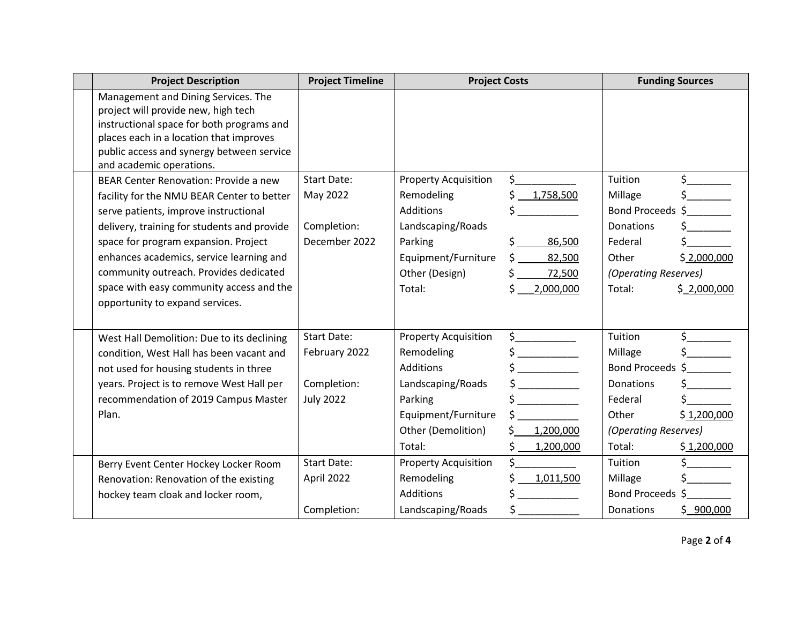| <b>Project Description</b>                                                                                                                                                                                                                  | <b>Project Timeline</b> | <b>Project Costs</b>        |                                                                                                                                                                                                                                                                                                                                                                                                                                                                                                                                                                                                                                                                                                                                                    |                      | <b>Funding Sources</b>                                                                                                                                                                                                                                                                                                                              |
|---------------------------------------------------------------------------------------------------------------------------------------------------------------------------------------------------------------------------------------------|-------------------------|-----------------------------|----------------------------------------------------------------------------------------------------------------------------------------------------------------------------------------------------------------------------------------------------------------------------------------------------------------------------------------------------------------------------------------------------------------------------------------------------------------------------------------------------------------------------------------------------------------------------------------------------------------------------------------------------------------------------------------------------------------------------------------------------|----------------------|-----------------------------------------------------------------------------------------------------------------------------------------------------------------------------------------------------------------------------------------------------------------------------------------------------------------------------------------------------|
| Management and Dining Services. The<br>project will provide new, high tech<br>instructional space for both programs and<br>places each in a location that improves<br>public access and synergy between service<br>and academic operations. |                         |                             |                                                                                                                                                                                                                                                                                                                                                                                                                                                                                                                                                                                                                                                                                                                                                    |                      |                                                                                                                                                                                                                                                                                                                                                     |
| BEAR Center Renovation: Provide a new                                                                                                                                                                                                       | <b>Start Date:</b>      | <b>Property Acquisition</b> | $\sharp$ and $\sharp$                                                                                                                                                                                                                                                                                                                                                                                                                                                                                                                                                                                                                                                                                                                              | Tuition              | $\begin{picture}(20,20) \put(0,0){\line(1,0){10}} \put(15,0){\line(1,0){10}} \put(15,0){\line(1,0){10}} \put(15,0){\line(1,0){10}} \put(15,0){\line(1,0){10}} \put(15,0){\line(1,0){10}} \put(15,0){\line(1,0){10}} \put(15,0){\line(1,0){10}} \put(15,0){\line(1,0){10}} \put(15,0){\line(1,0){10}} \put(15,0){\line(1,0){10}} \put(15,0){\line(1$ |
| facility for the NMU BEAR Center to better                                                                                                                                                                                                  | May 2022                | Remodeling                  | \$<br>1,758,500                                                                                                                                                                                                                                                                                                                                                                                                                                                                                                                                                                                                                                                                                                                                    | Millage              | $\frac{1}{2}$                                                                                                                                                                                                                                                                                                                                       |
| serve patients, improve instructional                                                                                                                                                                                                       |                         | <b>Additions</b>            | \$                                                                                                                                                                                                                                                                                                                                                                                                                                                                                                                                                                                                                                                                                                                                                 | Bond Proceeds \$     |                                                                                                                                                                                                                                                                                                                                                     |
| delivery, training for students and provide                                                                                                                                                                                                 | Completion:             | Landscaping/Roads           |                                                                                                                                                                                                                                                                                                                                                                                                                                                                                                                                                                                                                                                                                                                                                    | <b>Donations</b>     |                                                                                                                                                                                                                                                                                                                                                     |
| space for program expansion. Project                                                                                                                                                                                                        | December 2022           | Parking                     | \$<br>86,500                                                                                                                                                                                                                                                                                                                                                                                                                                                                                                                                                                                                                                                                                                                                       | Federal              |                                                                                                                                                                                                                                                                                                                                                     |
| enhances academics, service learning and                                                                                                                                                                                                    |                         | Equipment/Furniture         | Ś.<br>82,500                                                                                                                                                                                                                                                                                                                                                                                                                                                                                                                                                                                                                                                                                                                                       | Other                | \$2,000,000                                                                                                                                                                                                                                                                                                                                         |
| community outreach. Provides dedicated                                                                                                                                                                                                      |                         | Other (Design)              | 72,500                                                                                                                                                                                                                                                                                                                                                                                                                                                                                                                                                                                                                                                                                                                                             | (Operating Reserves) |                                                                                                                                                                                                                                                                                                                                                     |
| space with easy community access and the<br>opportunity to expand services.                                                                                                                                                                 |                         | Total:                      | \$<br>2,000,000                                                                                                                                                                                                                                                                                                                                                                                                                                                                                                                                                                                                                                                                                                                                    | Total:               | \$2,000,000                                                                                                                                                                                                                                                                                                                                         |
| West Hall Demolition: Due to its declining                                                                                                                                                                                                  | <b>Start Date:</b>      | <b>Property Acquisition</b> | $\frac{1}{2}$                                                                                                                                                                                                                                                                                                                                                                                                                                                                                                                                                                                                                                                                                                                                      | Tuition              | $\frac{1}{5}$                                                                                                                                                                                                                                                                                                                                       |
| condition, West Hall has been vacant and                                                                                                                                                                                                    | February 2022           | Remodeling                  | $\frac{1}{2}$                                                                                                                                                                                                                                                                                                                                                                                                                                                                                                                                                                                                                                                                                                                                      | Millage              | $\frac{1}{2}$                                                                                                                                                                                                                                                                                                                                       |
| not used for housing students in three                                                                                                                                                                                                      |                         | <b>Additions</b>            | $\frac{1}{2}$                                                                                                                                                                                                                                                                                                                                                                                                                                                                                                                                                                                                                                                                                                                                      | Bond Proceeds \$     |                                                                                                                                                                                                                                                                                                                                                     |
| years. Project is to remove West Hall per                                                                                                                                                                                                   | Completion:             | Landscaping/Roads           | $\sim$                                                                                                                                                                                                                                                                                                                                                                                                                                                                                                                                                                                                                                                                                                                                             | Donations            |                                                                                                                                                                                                                                                                                                                                                     |
| recommendation of 2019 Campus Master                                                                                                                                                                                                        | <b>July 2022</b>        | Parking                     | $\begin{array}{c} \n \uparrow \quad \quad \quad \downarrow \quad \quad \quad \quad \downarrow \quad \quad \quad \downarrow \quad \quad \quad \downarrow \quad \quad \downarrow \quad \quad \downarrow \quad \quad \downarrow \quad \quad \downarrow \quad \quad \downarrow \quad \quad \downarrow \quad \quad \downarrow \quad \downarrow \quad \quad \downarrow \quad \quad \downarrow \quad \downarrow \quad \downarrow \quad \downarrow \quad \downarrow \quad \downarrow \quad \downarrow \quad \downarrow \quad \downarrow \quad \downarrow \quad \downarrow \quad \downarrow \quad \downarrow \quad \downarrow \quad \downarrow \quad \downarrow \quad \downarrow \quad \downarrow \quad \downarrow \quad \downarrow \quad \downarrow \quad$ | Federal              |                                                                                                                                                                                                                                                                                                                                                     |
| Plan.                                                                                                                                                                                                                                       |                         | Equipment/Furniture         |                                                                                                                                                                                                                                                                                                                                                                                                                                                                                                                                                                                                                                                                                                                                                    | Other                | \$1,200,000                                                                                                                                                                                                                                                                                                                                         |
|                                                                                                                                                                                                                                             |                         | Other (Demolition)          | \$.<br>1,200,000                                                                                                                                                                                                                                                                                                                                                                                                                                                                                                                                                                                                                                                                                                                                   | (Operating Reserves) |                                                                                                                                                                                                                                                                                                                                                     |
|                                                                                                                                                                                                                                             |                         | Total:                      | \$<br>1,200,000                                                                                                                                                                                                                                                                                                                                                                                                                                                                                                                                                                                                                                                                                                                                    | Total:               | \$1,200,000                                                                                                                                                                                                                                                                                                                                         |
| Berry Event Center Hockey Locker Room                                                                                                                                                                                                       | <b>Start Date:</b>      | <b>Property Acquisition</b> | \$                                                                                                                                                                                                                                                                                                                                                                                                                                                                                                                                                                                                                                                                                                                                                 | Tuition              |                                                                                                                                                                                                                                                                                                                                                     |
| Renovation: Renovation of the existing                                                                                                                                                                                                      | April 2022              | Remodeling                  | \$1,011,500                                                                                                                                                                                                                                                                                                                                                                                                                                                                                                                                                                                                                                                                                                                                        | Millage              |                                                                                                                                                                                                                                                                                                                                                     |
| hockey team cloak and locker room,                                                                                                                                                                                                          |                         | <b>Additions</b>            | $\sharp$ and $\sharp$                                                                                                                                                                                                                                                                                                                                                                                                                                                                                                                                                                                                                                                                                                                              | Bond Proceeds \$     |                                                                                                                                                                                                                                                                                                                                                     |
|                                                                                                                                                                                                                                             | Completion:             | Landscaping/Roads           | $\sharp$                                                                                                                                                                                                                                                                                                                                                                                                                                                                                                                                                                                                                                                                                                                                           | Donations            | \$900,000                                                                                                                                                                                                                                                                                                                                           |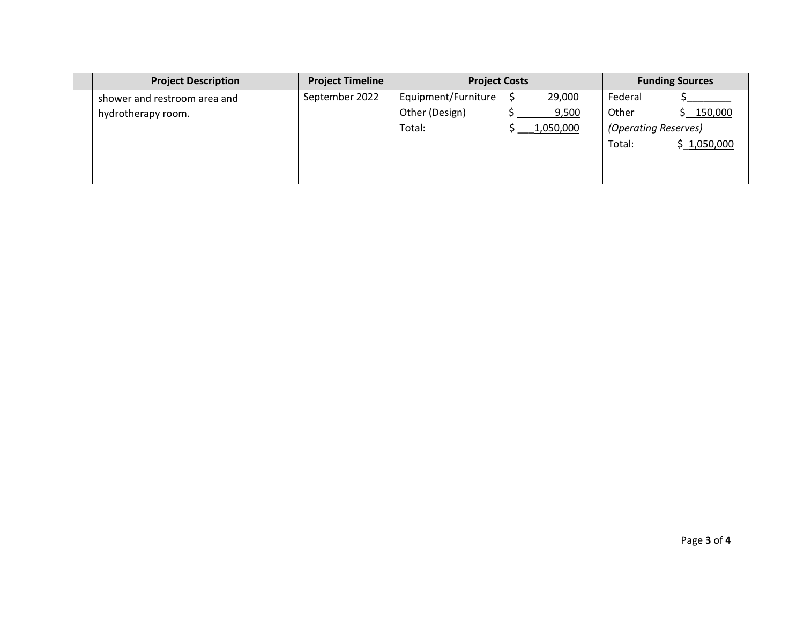| <b>Project Description</b>   | <b>Project Timeline</b> | <b>Project Costs</b> |           | <b>Funding Sources</b> |  |
|------------------------------|-------------------------|----------------------|-----------|------------------------|--|
| shower and restroom area and | September 2022          | Equipment/Furniture  | 29,000    | Federal                |  |
| hydrotherapy room.           |                         | Other (Design)       | 9,500     | Other<br>150,000       |  |
|                              |                         | Total:               | 1,050,000 | (Operating Reserves)   |  |
|                              |                         |                      |           | Total:<br>\$1,050,000  |  |
|                              |                         |                      |           |                        |  |
|                              |                         |                      |           |                        |  |